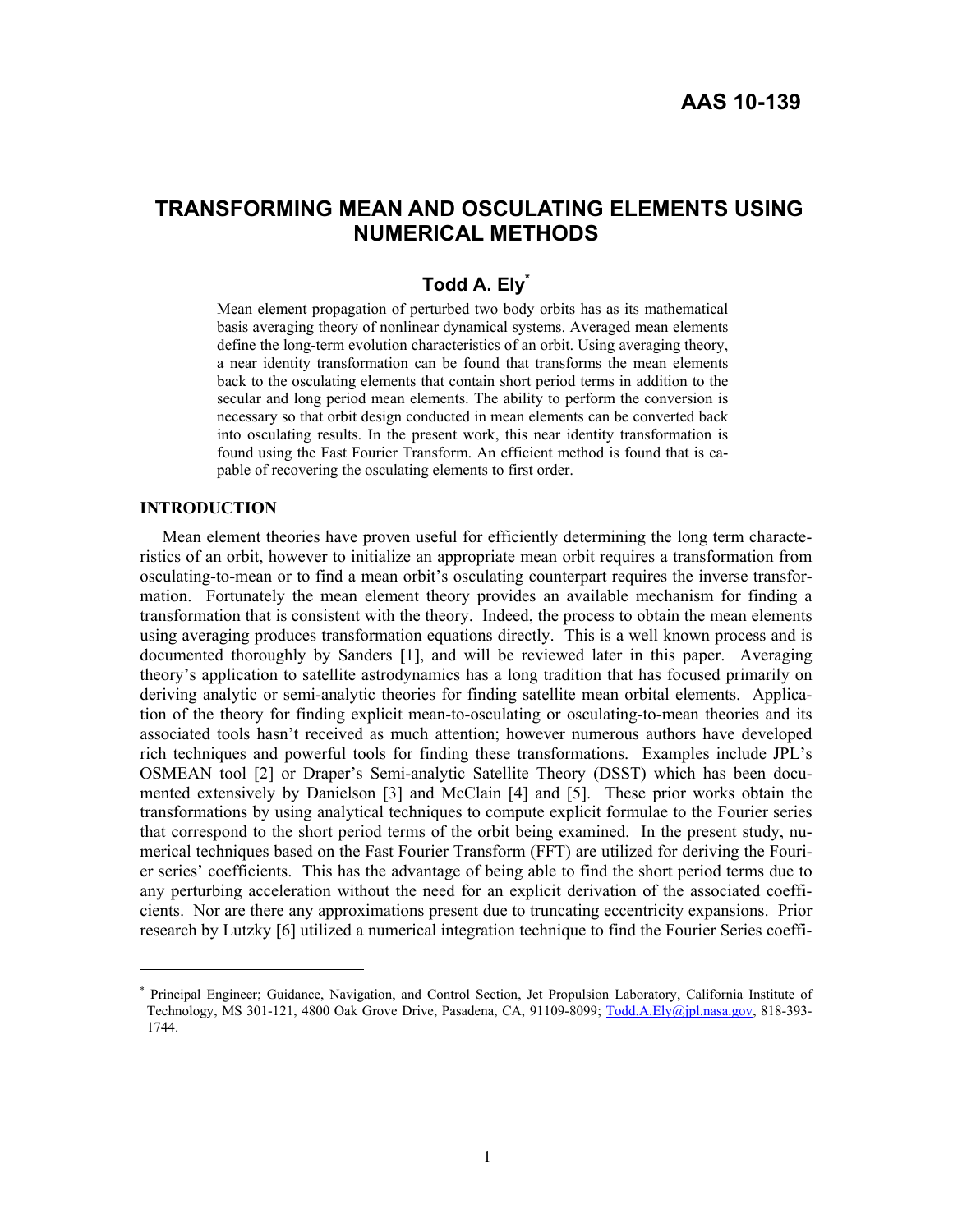# **TRANSFORMING MEAN AND OSCULATING ELEMENTS USING NUMERICAL METHODS**

# **Todd A. Ely\***

Mean element propagation of perturbed two body orbits has as its mathematical basis averaging theory of nonlinear dynamical systems. Averaged mean elements define the long-term evolution characteristics of an orbit. Using averaging theory, a near identity transformation can be found that transforms the mean elements back to the osculating elements that contain short period terms in addition to the secular and long period mean elements. The ability to perform the conversion is necessary so that orbit design conducted in mean elements can be converted back into osculating results. In the present work, this near identity transformation is found using the Fast Fourier Transform. An efficient method is found that is capable of recovering the osculating elements to first order.

#### **INTRODUCTION**

 $\overline{a}$ 

Mean element theories have proven useful for efficiently determining the long term characteristics of an orbit, however to initialize an appropriate mean orbit requires a transformation from osculating-to-mean or to find a mean orbit's osculating counterpart requires the inverse transformation. Fortunately the mean element theory provides an available mechanism for finding a transformation that is consistent with the theory. Indeed, the process to obtain the mean elements using averaging produces transformation equations directly. This is a well known process and is documented thoroughly by Sanders [1], and will be reviewed later in this paper. Averaging theory's application to satellite astrodynamics has a long tradition that has focused primarily on deriving analytic or semi-analytic theories for finding satellite mean orbital elements. Application of the theory for finding explicit mean-to-osculating or osculating-to-mean theories and its associated tools hasn't received as much attention; however numerous authors have developed rich techniques and powerful tools for finding these transformations. Examples include JPL's OSMEAN tool [2] or Draper's Semi-analytic Satellite Theory (DSST) which has been documented extensively by Danielson [3] and McClain [4] and [5]. These prior works obtain the transformations by using analytical techniques to compute explicit formulae to the Fourier series that correspond to the short period terms of the orbit being examined. In the present study, numerical techniques based on the Fast Fourier Transform (FFT) are utilized for deriving the Fourier series' coefficients. This has the advantage of being able to find the short period terms due to any perturbing acceleration without the need for an explicit derivation of the associated coefficients. Nor are there any approximations present due to truncating eccentricity expansions. Prior research by Lutzky [6] utilized a numerical integration technique to find the Fourier Series coeffi-

<sup>\*</sup> Principal Engineer; Guidance, Navigation, and Control Section, Jet Propulsion Laboratory, California Institute of Technology, MS 301-121, 4800 Oak Grove Drive, Pasadena, CA, 91109-8099; Todd.A.Ely@jpl.nasa.gov, 818-393- 1744.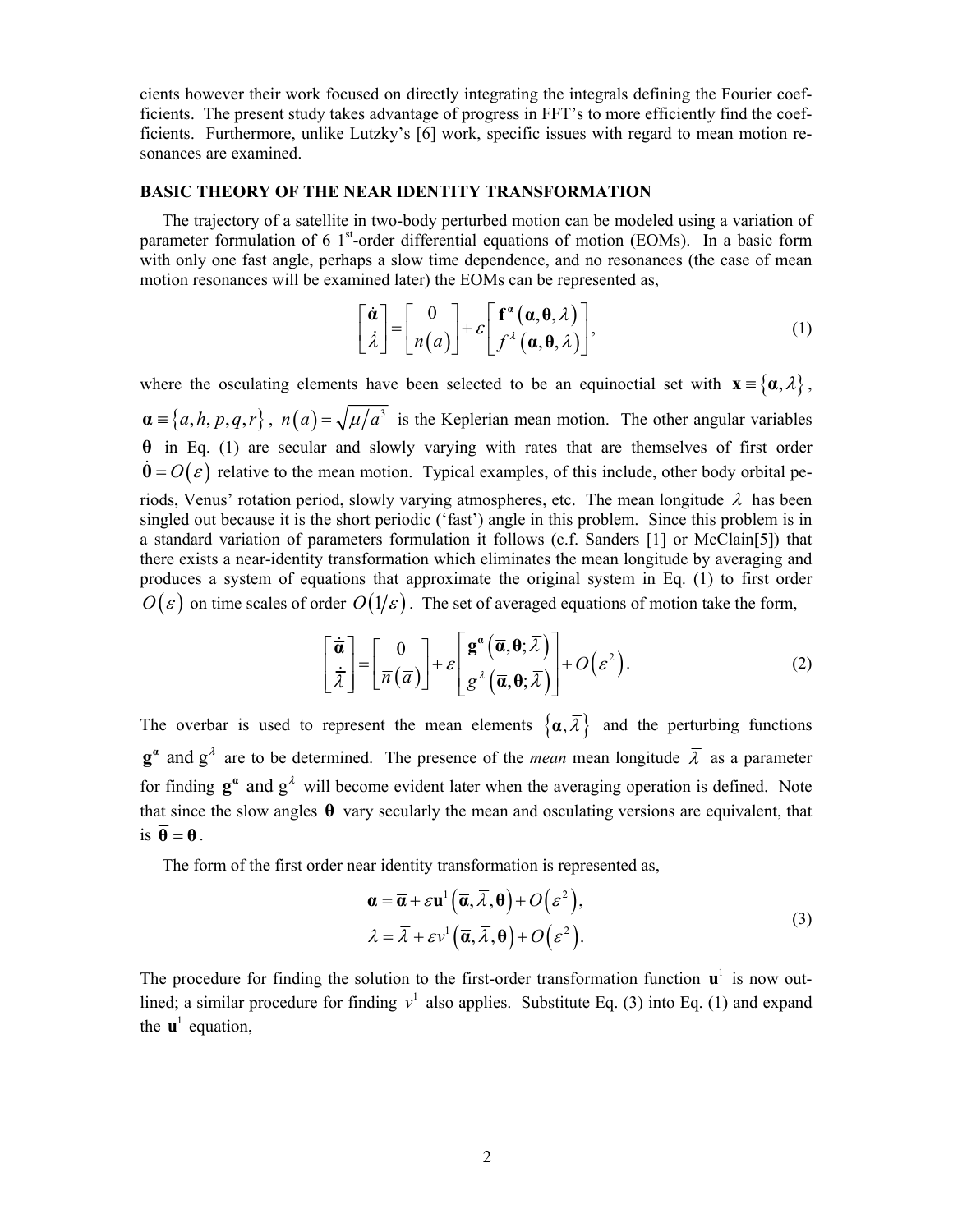cients however their work focused on directly integrating the integrals defining the Fourier coefficients. The present study takes advantage of progress in FFT's to more efficiently find the coefficients. Furthermore, unlike Lutzky's [6] work, specific issues with regard to mean motion resonances are examined.

#### **BASIC THEORY OF THE NEAR IDENTITY TRANSFORMATION**

The trajectory of a satellite in two-body perturbed motion can be modeled using a variation of parameter formulation of 6  $1<sup>st</sup>$ -order differential equations of motion (EOMs). In a basic form with only one fast angle, perhaps a slow time dependence, and no resonances (the case of mean motion resonances will be examined later) the EOMs can be represented as,

$$
\begin{bmatrix} \dot{\boldsymbol{\alpha}} \\ \dot{\lambda} \end{bmatrix} = \begin{bmatrix} 0 \\ n(a) \end{bmatrix} + \varepsilon \begin{bmatrix} \mathbf{f}^{\alpha}(\boldsymbol{\alpha}, \boldsymbol{\theta}, \lambda) \\ \int r^{\lambda}(\boldsymbol{\alpha}, \boldsymbol{\theta}, \lambda) \end{bmatrix},
$$
(1)

where the osculating elements have been selected to be an equinoctial set with  $\mathbf{x} = {\alpha, \lambda}$ ,  $\mathbf{a} = \{a, h, p, q, r\}$ ,  $n(a) = \sqrt{\mu/a^3}$  is the Keplerian mean motion. The other angular variables **θ** in Eq. (1) are secular and slowly varying with rates that are themselves of first order  $\hat{\theta} = O(\varepsilon)$  relative to the mean motion. Typical examples, of this include, other body orbital periods, Venus' rotation period, slowly varying atmospheres, etc. The mean longitude  $\lambda$  has been singled out because it is the short periodic ('fast') angle in this problem. Since this problem is in a standard variation of parameters formulation it follows (c.f. Sanders [1] or McClain[5]) that there exists a near-identity transformation which eliminates the mean longitude by averaging and produces a system of equations that approximate the original system in Eq. (1) to first order  $O(\varepsilon)$  on time scales of order  $O(1/\varepsilon)$ . The set of averaged equations of motion take the form,

$$
\begin{bmatrix} \dot{\overline{\boldsymbol{a}}} \\ \dot{\overline{\boldsymbol{\lambda}}} \end{bmatrix} = \begin{bmatrix} 0 \\ \overline{n}(\overline{a}) \end{bmatrix} + \varepsilon \begin{bmatrix} \mathbf{g}^{\boldsymbol{a}} \left( \overline{\boldsymbol{a}}, \boldsymbol{\theta}; \overline{\boldsymbol{\lambda}} \right) \\ \varepsilon^{\lambda} \left( \overline{\boldsymbol{a}}, \boldsymbol{\theta}; \overline{\boldsymbol{\lambda}} \right) \end{bmatrix} + O(\varepsilon^2).
$$
 (2)

The overbar is used to represent the mean elements  $\{\overline{\alpha}, \overline{\lambda}\}\$  and the perturbing functions  $\mathbf{g}^{\alpha}$  and  $\mathbf{g}^{\lambda}$  are to be determined. The presence of the *mean* mean longitude  $\overline{\lambda}$  as a parameter for finding  $\mathbf{g}^a$  and  $\mathbf{g}^{\lambda}$  will become evident later when the averaging operation is defined. Note that since the slow angles  $\theta$  vary secularly the mean and osculating versions are equivalent, that is  $\overline{\theta} = \theta$ .

The form of the first order near identity transformation is represented as,

$$
\mathbf{\alpha} = \overline{\mathbf{\alpha}} + \varepsilon \mathbf{u}^1 \left( \overline{\mathbf{\alpha}}, \overline{\lambda}, \mathbf{\theta} \right) + O(\varepsilon^2),
$$
  
\n
$$
\lambda = \overline{\lambda} + \varepsilon v^1 \left( \overline{\mathbf{\alpha}}, \overline{\lambda}, \mathbf{\theta} \right) + O(\varepsilon^2).
$$
 (3)

The procedure for finding the solution to the first-order transformation function  $\mathbf{u}^1$  is now outlined; a similar procedure for finding  $v^1$  also applies. Substitute Eq. (3) into Eq. (1) and expand the  $\mathbf{u}^1$  equation,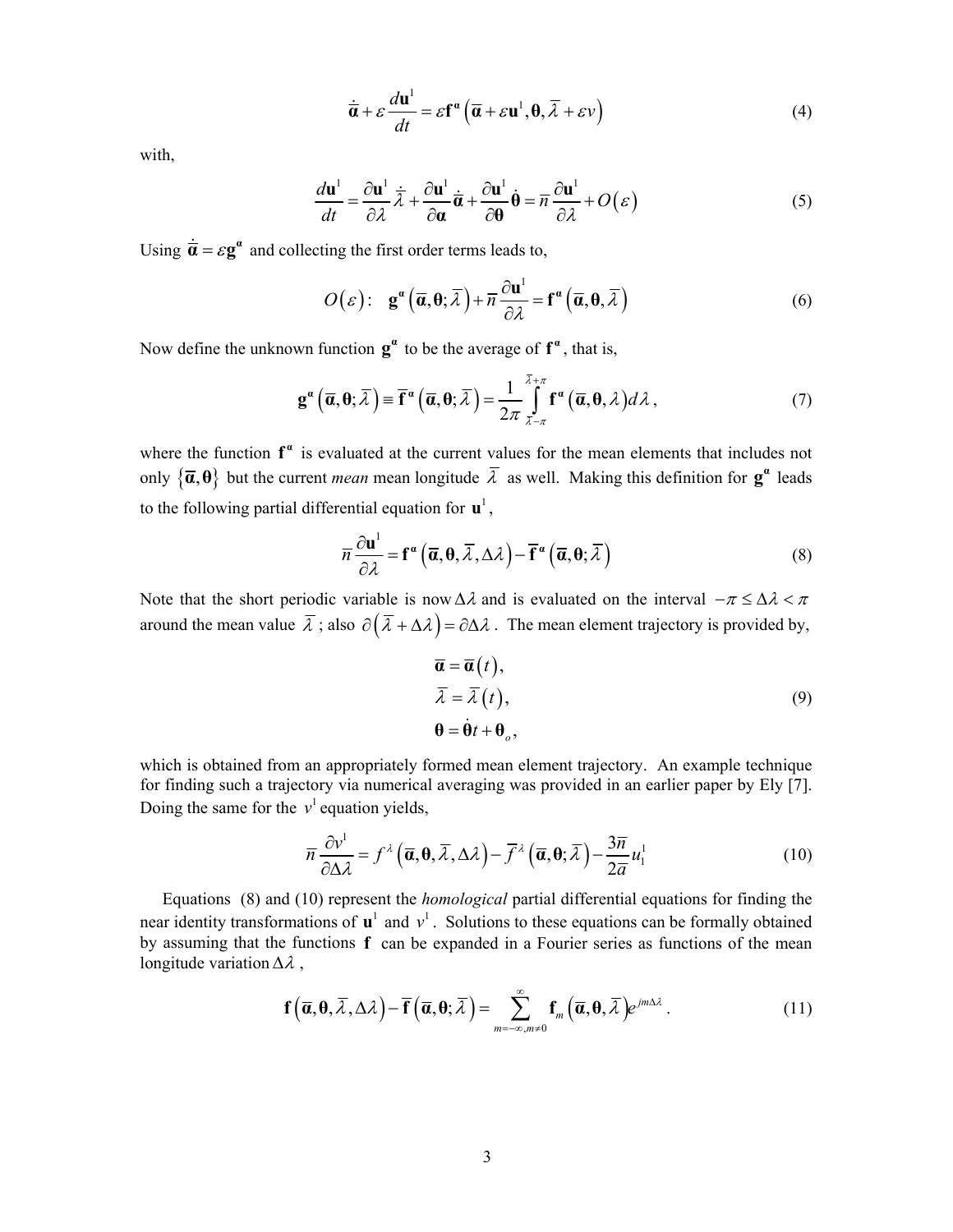$$
\dot{\overline{\boldsymbol{\alpha}}} + \varepsilon \frac{d\mathbf{u}^1}{dt} = \varepsilon \mathbf{f}^{\alpha} \left( \overline{\boldsymbol{\alpha}} + \varepsilon \mathbf{u}^1, \boldsymbol{\theta}, \overline{\lambda} + \varepsilon \nu \right)
$$
(4)

with,

$$
\frac{d\mathbf{u}^{1}}{dt} = \frac{\partial \mathbf{u}^{1}}{\partial \lambda} \dot{\overline{\lambda}} + \frac{\partial \mathbf{u}^{1}}{\partial \mathbf{a}} \dot{\overline{\alpha}} + \frac{\partial \mathbf{u}^{1}}{\partial \theta} \dot{\theta} = \overline{n} \frac{\partial \mathbf{u}^{1}}{\partial \lambda} + O(\varepsilon)
$$
(5)

Using  $\dot{\mathbf{a}} = \varepsilon \mathbf{g}^{\alpha}$  and collecting the first order terms leads to,

$$
O(\varepsilon): \mathbf{g}^{\alpha}\left(\overline{\mathbf{a}}, \mathbf{\theta}; \overline{\lambda}\right) + \overline{n}\frac{\partial \mathbf{u}^{1}}{\partial \lambda} = \mathbf{f}^{\alpha}\left(\overline{\mathbf{a}}, \mathbf{\theta}, \overline{\lambda}\right)
$$
(6)

Now define the unknown function  $\mathbf{g}^{\alpha}$  to be the average of  $\mathbf{f}^{\alpha}$ , that is,

$$
\mathbf{g}^{\alpha}\left(\overline{\boldsymbol{\alpha}},\boldsymbol{\theta};\overline{\lambda}\right) \equiv \overline{\mathbf{f}}^{\alpha}\left(\overline{\boldsymbol{\alpha}},\boldsymbol{\theta};\overline{\lambda}\right) = \frac{1}{2\pi} \int\limits_{\overline{\lambda}-\pi}^{\overline{\lambda}+\pi} \mathbf{f}^{\alpha}\left(\overline{\boldsymbol{\alpha}},\boldsymbol{\theta},\lambda\right) d\lambda, \tag{7}
$$

where the function  $f^{\alpha}$  is evaluated at the current values for the mean elements that includes not only  $\{\bar{\alpha}, \theta\}$  but the current *mean* mean longitude  $\bar{\lambda}$  as well. Making this definition for  $\mathbf{g}^{\alpha}$  leads to the following partial differential equation for  $\mathbf{u}^1$ ,

$$
\overline{n}\frac{\partial \mathbf{u}^{1}}{\partial \lambda} = \mathbf{f}^{\alpha}\left(\overline{\alpha}, \theta, \overline{\lambda}, \Delta \lambda\right) - \overline{\mathbf{f}}^{\alpha}\left(\overline{\alpha}, \theta, \overline{\lambda}\right)
$$
(8)

Note that the short periodic variable is now  $\Delta \lambda$  and is evaluated on the interval  $-\pi \leq \Delta \lambda < \pi$ around the mean value  $\bar{\lambda}$ ; also  $\partial(\bar{\lambda} + \Delta \lambda) = \partial \Delta \lambda$ . The mean element trajectory is provided by,

$$
\overline{\alpha} = \overline{\alpha}(t), \n\overline{\lambda} = \overline{\lambda}(t), \n\theta = \dot{\theta}t + \theta_o,
$$
\n(9)

which is obtained from an appropriately formed mean element trajectory. An example technique for finding such a trajectory via numerical averaging was provided in an earlier paper by Ely [7]. Doing the same for the  $v^1$  equation yields,

$$
\overline{n}\frac{\partial v^1}{\partial \Delta \lambda} = f^{\lambda} \left( \overline{\mathbf{a}}, \mathbf{0}, \overline{\lambda}, \Delta \lambda \right) - \overline{f}^{\lambda} \left( \overline{\mathbf{a}}, \mathbf{0}, \overline{\lambda} \right) - \frac{3\overline{n}}{2\overline{a}} u_1^1 \tag{10}
$$

Equations (8) and (10) represent the *homological* partial differential equations for finding the near identity transformations of  $\mathbf{u}^1$  and  $v^1$ . Solutions to these equations can be formally obtained by assuming that the functions **f** can be expanded in a Fourier series as functions of the mean longitude variation  $\Delta \lambda$ ,

$$
\mathbf{f}\left(\overline{\boldsymbol{\alpha}},\boldsymbol{\theta},\overline{\lambda},\Delta\lambda\right)-\overline{\mathbf{f}}\left(\overline{\boldsymbol{\alpha}},\boldsymbol{\theta};\overline{\lambda}\right)=\sum_{m=-\infty,m\neq0}^{\infty}\mathbf{f}_{m}\left(\overline{\boldsymbol{\alpha}},\boldsymbol{\theta},\overline{\lambda}\right)e^{jm\Delta\lambda}.
$$
 (11)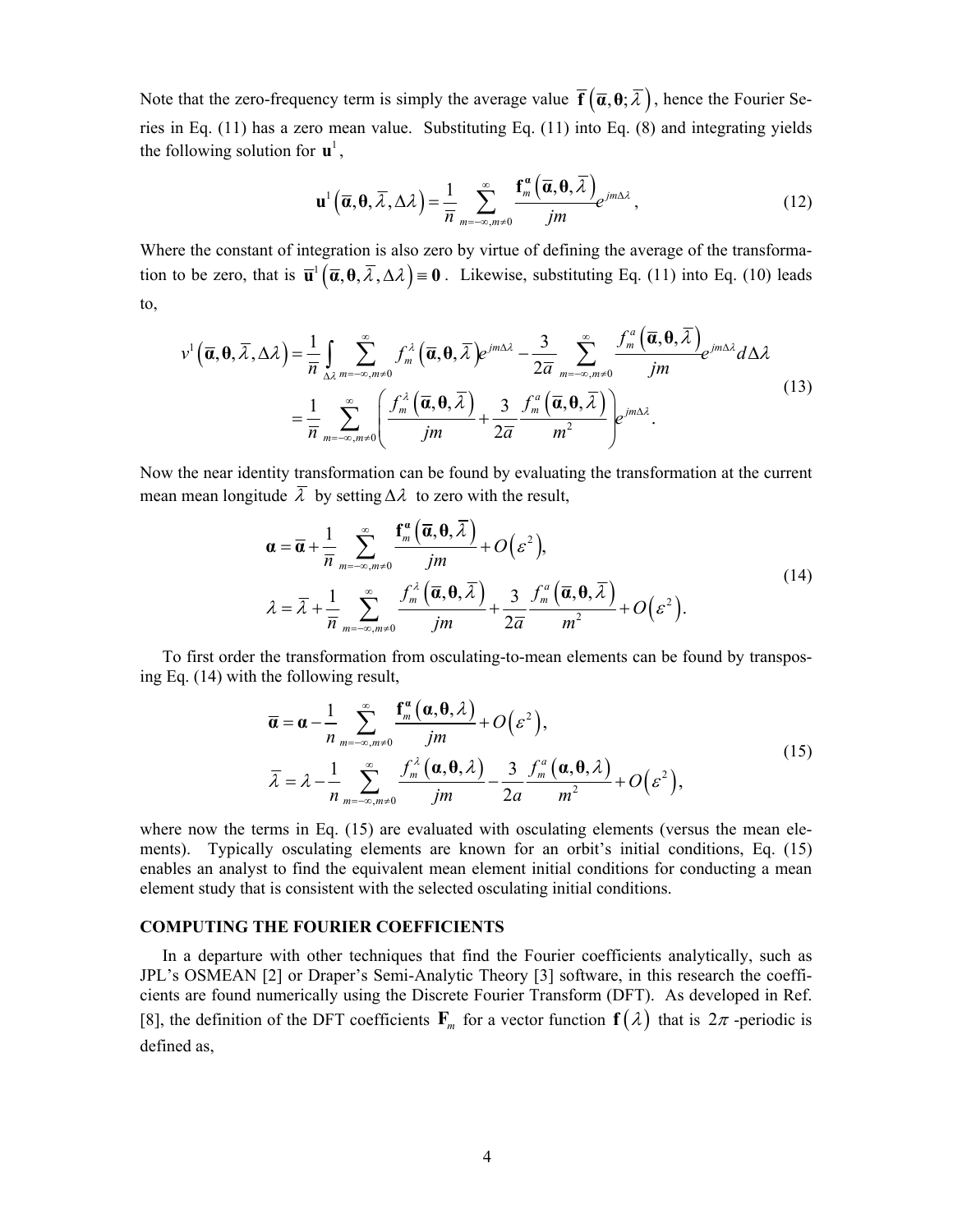Note that the zero-frequency term is simply the average value  $\mathbf{\bar{f}}(\bar{\alpha}, \theta; \bar{\lambda})$ , hence the Fourier Series in Eq. (11) has a zero mean value. Substituting Eq. (11) into Eq. (8) and integrating yields the following solution for  $\mathbf{u}^1$ ,

$$
\mathbf{u}^{1}\left(\overline{\boldsymbol{\alpha}},\boldsymbol{\theta},\overline{\lambda},\Delta\lambda\right) = \frac{1}{\overline{n}}\sum_{m=-\infty,m\neq 0}^{\infty}\frac{\mathbf{f}_{m}^{a}\left(\overline{\boldsymbol{\alpha}},\boldsymbol{\theta},\overline{\lambda}\right)}{jm}e^{jm\Delta\lambda},
$$
\n(12)

Where the constant of integration is also zero by virtue of defining the average of the transformation to be zero, that is  $\overline{\mathbf{u}}^1$   $(\overline{\alpha}, \theta, \overline{\lambda}, \Delta \lambda) = 0$ . Likewise, substituting Eq. (11) into Eq. (10) leads to,

$$
v^{1}(\overline{\boldsymbol{\alpha}},\boldsymbol{\theta},\overline{\lambda},\Delta\lambda) = \frac{1}{\overline{n}}\int_{\Delta\lambda} \sum_{m=-\infty,m\neq 0}^{\infty} f_{m}^{\lambda}(\overline{\boldsymbol{\alpha}},\boldsymbol{\theta},\overline{\lambda})e^{jm\Delta\lambda} - \frac{3}{2\overline{\boldsymbol{\alpha}}}\sum_{m=-\infty,m\neq 0}^{\infty} \frac{f_{m}^{a}(\overline{\boldsymbol{\alpha}},\boldsymbol{\theta},\overline{\lambda})}{jm}e^{jm\Delta\lambda}d\Delta\lambda
$$

$$
= \frac{1}{\overline{n}}\sum_{m=-\infty,m\neq 0}^{\infty} \left(\frac{f_{m}^{\lambda}(\overline{\boldsymbol{\alpha}},\boldsymbol{\theta},\overline{\lambda})}{jm} + \frac{3}{2\overline{\boldsymbol{\alpha}}}\frac{f_{m}^{a}(\overline{\boldsymbol{\alpha}},\boldsymbol{\theta},\overline{\lambda})}{m^{2}}\right)e^{jm\Delta\lambda}.
$$
(13)

Now the near identity transformation can be found by evaluating the transformation at the current mean mean longitude  $\overline{\lambda}$  by setting  $\Delta \lambda$  to zero with the result,

$$
\mathbf{\alpha} = \overline{\mathbf{\alpha}} + \frac{1}{\overline{n}} \sum_{m=-\infty, m \neq 0}^{\infty} \frac{\mathbf{f}_{m}^{\alpha}(\overline{\mathbf{\alpha}}, \mathbf{\theta}, \overline{\lambda})}{jm} + O(\varepsilon^{2}),
$$
\n
$$
\lambda = \overline{\lambda} + \frac{1}{\overline{n}} \sum_{m=-\infty, m \neq 0}^{\infty} \frac{f_{m}^{\lambda}(\overline{\mathbf{\alpha}}, \mathbf{\theta}, \overline{\lambda})}{jm} + \frac{3}{2\overline{\mathbf{\alpha}}} \frac{f_{m}^{\alpha}(\overline{\mathbf{\alpha}}, \mathbf{\theta}, \overline{\lambda})}{m^{2}} + O(\varepsilon^{2}).
$$
\n(14)

To first order the transformation from osculating-to-mean elements can be found by transposing Eq. (14) with the following result,

$$
\overline{\boldsymbol{\alpha}} = \boldsymbol{\alpha} - \frac{1}{n} \sum_{m=-\infty, m\neq 0}^{\infty} \frac{\mathbf{f}_{m}^{a}(\boldsymbol{\alpha}, \boldsymbol{\theta}, \lambda)}{jm} + O(\varepsilon^{2}),
$$
\n
$$
\overline{\lambda} = \lambda - \frac{1}{n} \sum_{m=-\infty, m\neq 0}^{\infty} \frac{f_{m}^{\lambda}(\boldsymbol{\alpha}, \boldsymbol{\theta}, \lambda)}{jm} - \frac{3}{2a} \frac{f_{m}^{a}(\boldsymbol{\alpha}, \boldsymbol{\theta}, \lambda)}{m^{2}} + O(\varepsilon^{2}),
$$
\n(15)

where now the terms in Eq. (15) are evaluated with osculating elements (versus the mean elements). Typically osculating elements are known for an orbit's initial conditions, Eq. (15) enables an analyst to find the equivalent mean element initial conditions for conducting a mean element study that is consistent with the selected osculating initial conditions.

#### **COMPUTING THE FOURIER COEFFICIENTS**

In a departure with other techniques that find the Fourier coefficients analytically, such as JPL's OSMEAN [2] or Draper's Semi-Analytic Theory [3] software, in this research the coefficients are found numerically using the Discrete Fourier Transform (DFT). As developed in Ref. [8], the definition of the DFT coefficients  $\mathbf{F}_m$  for a vector function  $\mathbf{f}(\lambda)$  that is  $2\pi$ -periodic is defined as,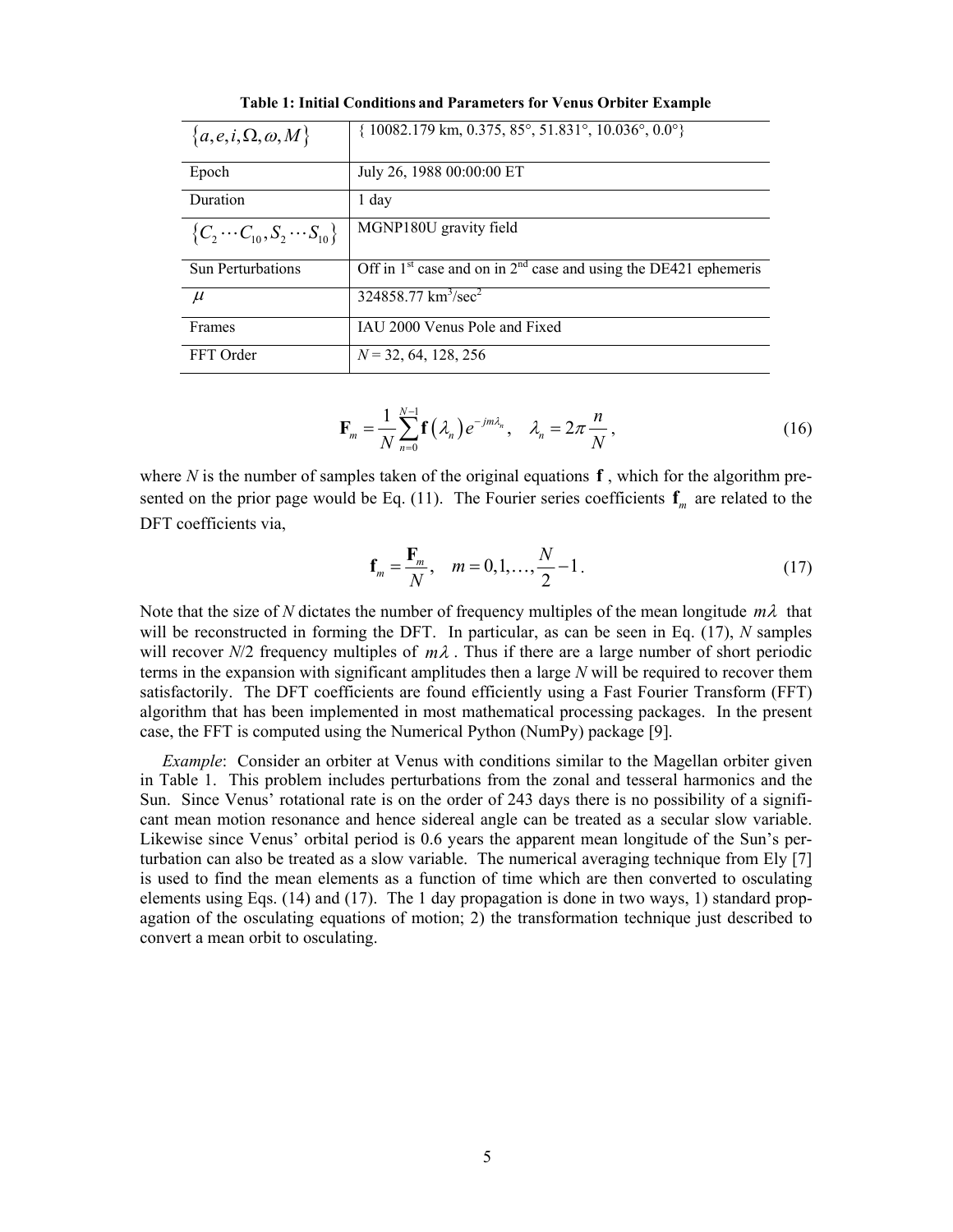| ${a, e, i, \Omega, \omega, M}$           | $\{10082.179 \text{ km}, 0.375, 85^\circ, 51.831^\circ, 10.036^\circ, 0.0^\circ\}$ |
|------------------------------------------|------------------------------------------------------------------------------------|
| Epoch                                    | July 26, 1988 00:00:00 ET                                                          |
| Duration                                 | 1 day                                                                              |
| ${C_2 \cdots C_{10}, S_2 \cdots S_{10}}$ | MGNP180U gravity field                                                             |
| <b>Sun Perturbations</b>                 | Off in 1 <sup>st</sup> case and on in $2nd$ case and using the DE421 ephemeris     |
| $\mu$                                    | $\frac{324858.77 \text{ km}^3\text{/sec}^2}{2}$                                    |
| Frames                                   | IAU 2000 Venus Pole and Fixed                                                      |
| FFT Order                                | $N = 32, 64, 128, 256$                                                             |

**Table 1: Initial Conditions and Parameters for Venus Orbiter Example** 

$$
\mathbf{F}_m = \frac{1}{N} \sum_{n=0}^{N-1} \mathbf{f}\left(\lambda_n\right) e^{-jm\lambda_n}, \quad \lambda_n = 2\pi \frac{n}{N},\tag{16}
$$

where *N* is the number of samples taken of the original equations  $f$ , which for the algorithm presented on the prior page would be Eq. (11). The Fourier series coefficients  $f_m$  are related to the DFT coefficients via,

$$
\mathbf{f}_m = \frac{\mathbf{F}_m}{N}, \quad m = 0, 1, \dots, \frac{N}{2} - 1.
$$
 (17)

Note that the size of N dictates the number of frequency multiples of the mean longitude  $m\lambda$  that will be reconstructed in forming the DFT. In particular, as can be seen in Eq. (17), *N* samples will recover *N*/2 frequency multiples of  $m\lambda$ . Thus if there are a large number of short periodic terms in the expansion with significant amplitudes then a large *N* will be required to recover them satisfactorily. The DFT coefficients are found efficiently using a Fast Fourier Transform (FFT) algorithm that has been implemented in most mathematical processing packages. In the present case, the FFT is computed using the Numerical Python (NumPy) package [9].

*Example*: Consider an orbiter at Venus with conditions similar to the Magellan orbiter given in Table 1. This problem includes perturbations from the zonal and tesseral harmonics and the Sun. Since Venus' rotational rate is on the order of 243 days there is no possibility of a significant mean motion resonance and hence sidereal angle can be treated as a secular slow variable. Likewise since Venus' orbital period is 0.6 years the apparent mean longitude of the Sun's perturbation can also be treated as a slow variable. The numerical averaging technique from Ely [7] is used to find the mean elements as a function of time which are then converted to osculating elements using Eqs. (14) and (17). The 1 day propagation is done in two ways, 1) standard propagation of the osculating equations of motion; 2) the transformation technique just described to convert a mean orbit to osculating.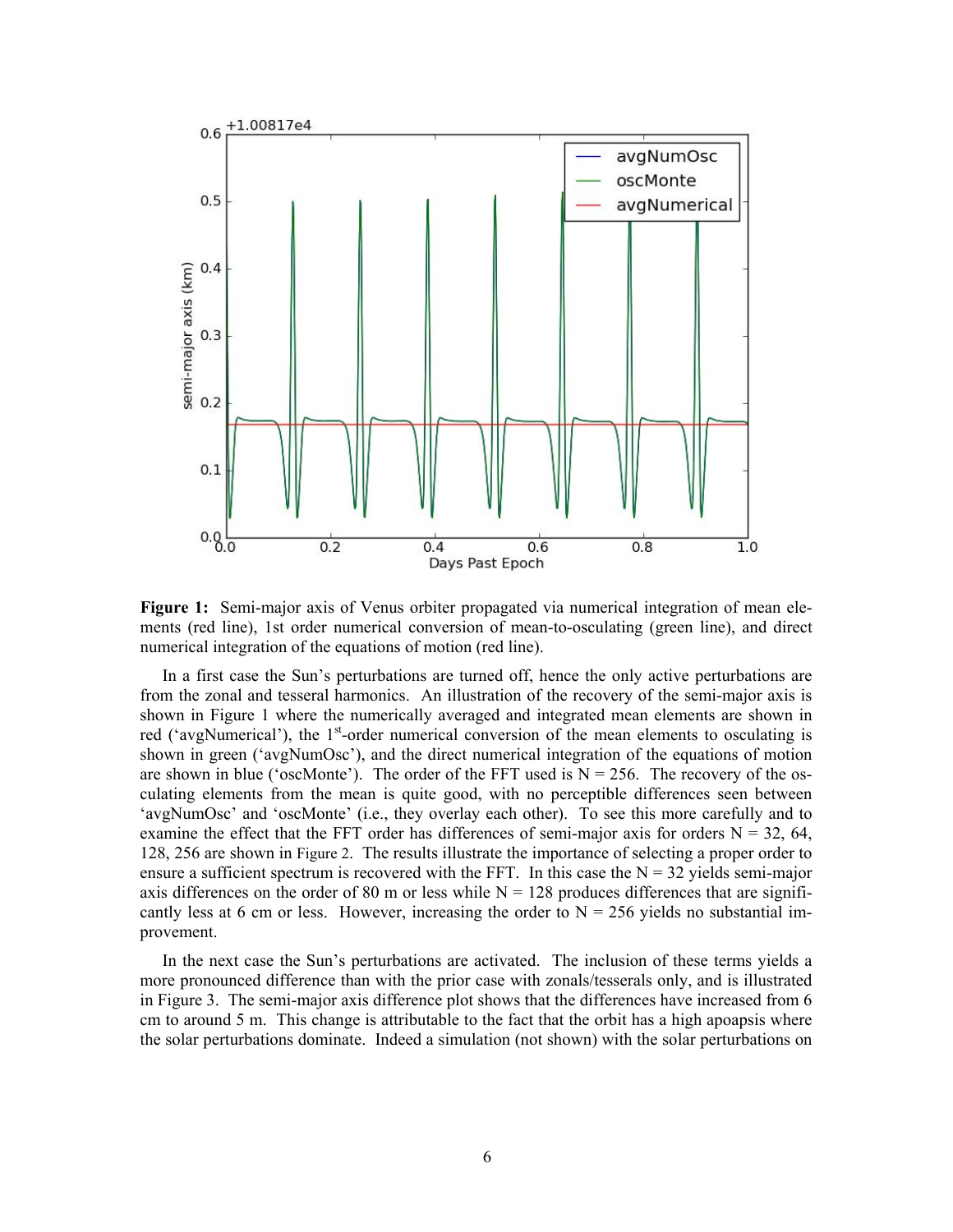

**Figure 1:** Semi-major axis of Venus orbiter propagated via numerical integration of mean elements (red line), 1st order numerical conversion of mean-to-osculating (green line), and direct numerical integration of the equations of motion (red line).

In a first case the Sun's perturbations are turned off, hence the only active perturbations are from the zonal and tesseral harmonics. An illustration of the recovery of the semi-major axis is shown in Figure 1 where the numerically averaged and integrated mean elements are shown in red ('avgNumerical'), the 1<sup>st</sup>-order numerical conversion of the mean elements to osculating is shown in green ('avgNumOsc'), and the direct numerical integration of the equations of motion are shown in blue ('oscMonte'). The order of the FFT used is  $N = 256$ . The recovery of the osculating elements from the mean is quite good, with no perceptible differences seen between 'avgNumOsc' and 'oscMonte' (i.e., they overlay each other). To see this more carefully and to examine the effect that the FFT order has differences of semi-major axis for orders  $N = 32, 64$ , 128, 256 are shown in Figure 2. The results illustrate the importance of selecting a proper order to ensure a sufficient spectrum is recovered with the FFT. In this case the  $N = 32$  yields semi-major axis differences on the order of 80 m or less while  $N = 128$  produces differences that are significantly less at 6 cm or less. However, increasing the order to  $N = 256$  yields no substantial improvement.

In the next case the Sun's perturbations are activated. The inclusion of these terms yields a more pronounced difference than with the prior case with zonals/tesserals only, and is illustrated in Figure 3. The semi-major axis difference plot shows that the differences have increased from 6 cm to around 5 m. This change is attributable to the fact that the orbit has a high apoapsis where the solar perturbations dominate. Indeed a simulation (not shown) with the solar perturbations on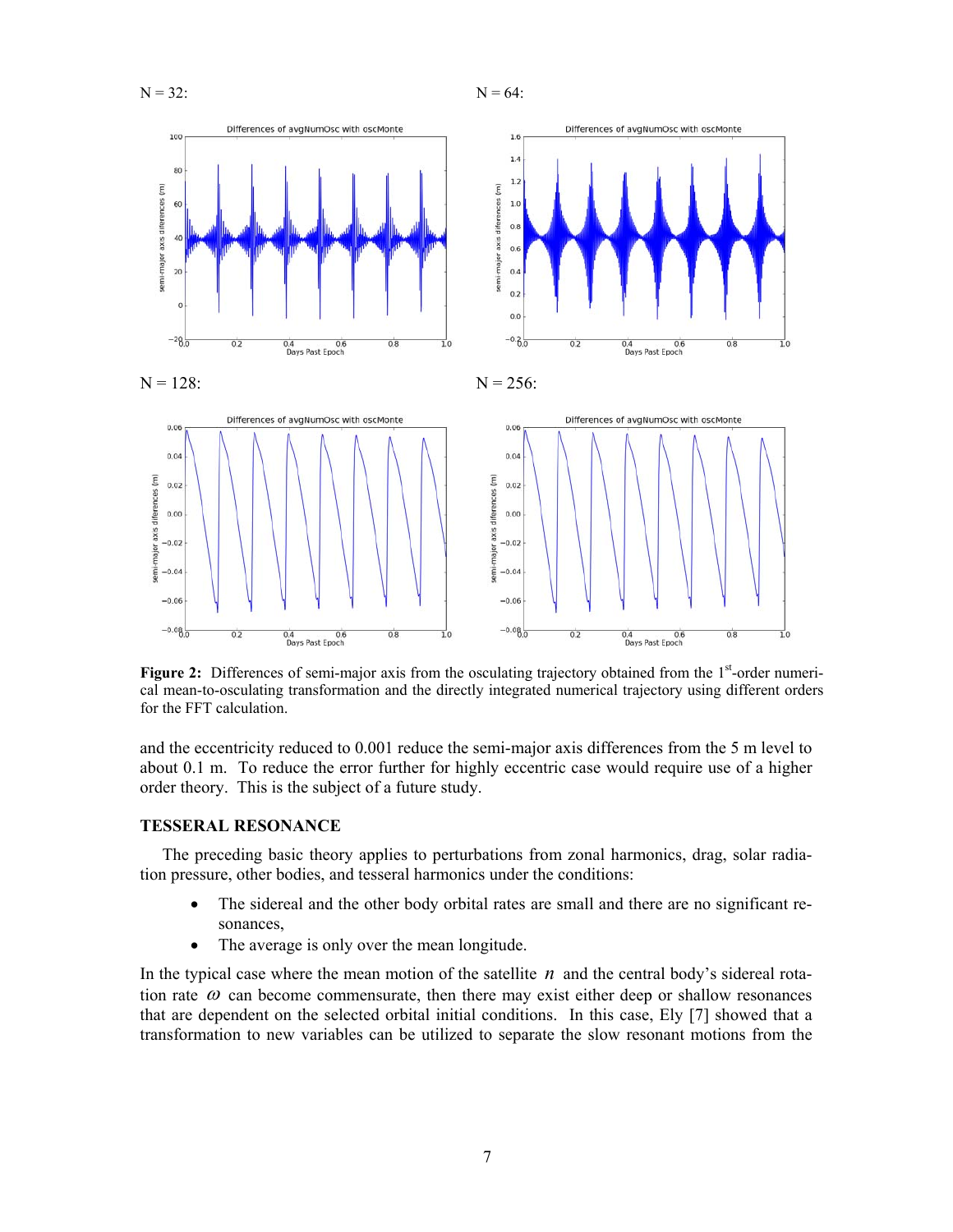



**Figure 2:** Differences of semi-major axis from the osculating trajectory obtained from the 1<sup>st</sup>-order numerical mean-to-osculating transformation and the directly integrated numerical trajectory using different orders for the FFT calculation.

and the eccentricity reduced to 0.001 reduce the semi-major axis differences from the 5 m level to about 0.1 m. To reduce the error further for highly eccentric case would require use of a higher order theory. This is the subject of a future study.

#### **TESSERAL RESONANCE**

The preceding basic theory applies to perturbations from zonal harmonics, drag, solar radiation pressure, other bodies, and tesseral harmonics under the conditions:

- The sidereal and the other body orbital rates are small and there are no significant resonances,
- The average is only over the mean longitude.

In the typical case where the mean motion of the satellite  $n$  and the central body's sidereal rotation rate  $\omega$  can become commensurate, then there may exist either deep or shallow resonances that are dependent on the selected orbital initial conditions. In this case, Ely [7] showed that a transformation to new variables can be utilized to separate the slow resonant motions from the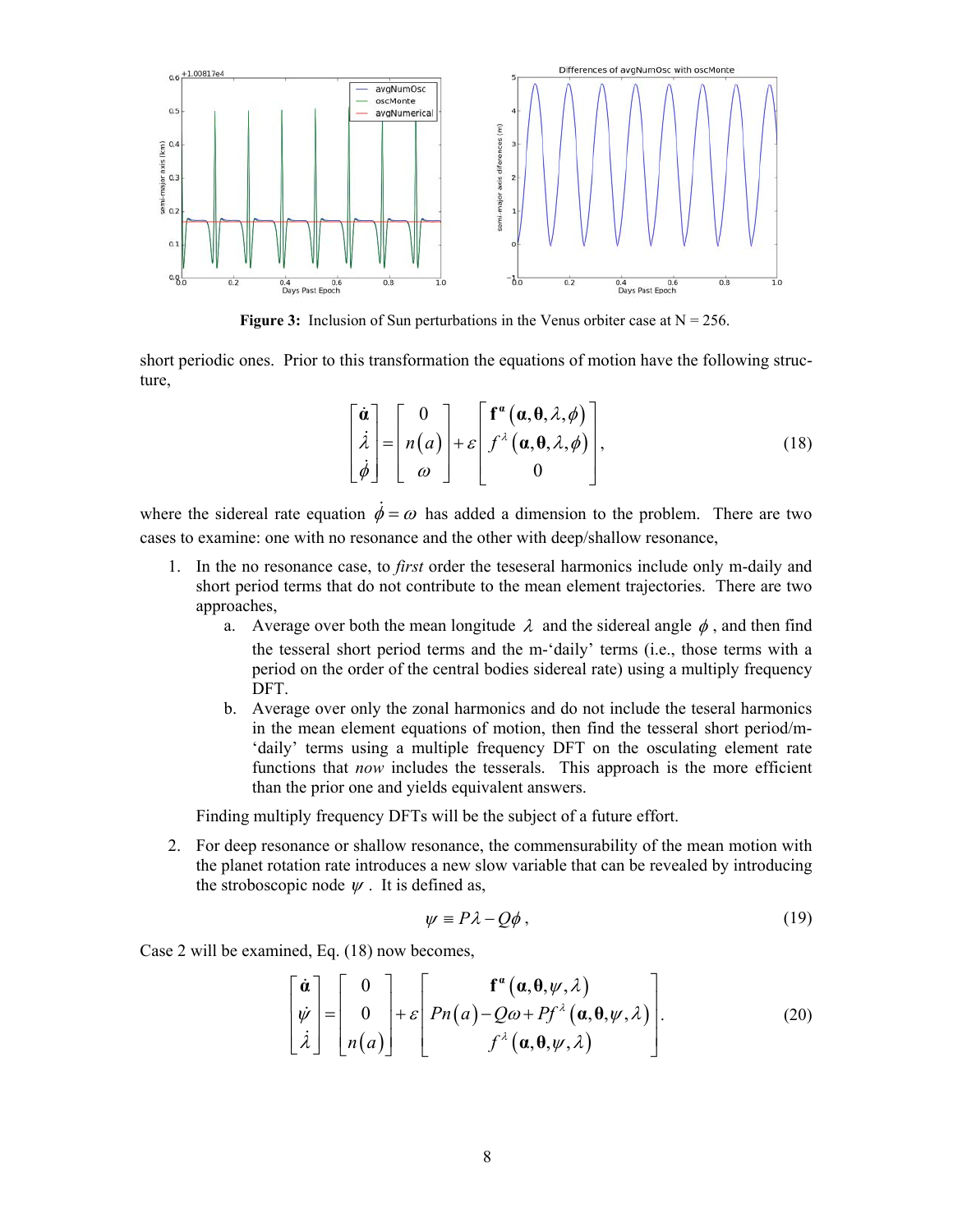

**Figure 3:** Inclusion of Sun perturbations in the Venus orbiter case at  $N = 256$ .

short periodic ones. Prior to this transformation the equations of motion have the following structure,

$$
\begin{bmatrix} \dot{\boldsymbol{a}} \\ \dot{\lambda} \\ \dot{\phi} \end{bmatrix} = \begin{bmatrix} 0 \\ n(a) \\ \omega \end{bmatrix} + \varepsilon \begin{bmatrix} \mathbf{f}^{\alpha}(\boldsymbol{a}, \boldsymbol{\theta}, \lambda, \phi) \\ f^{\lambda}(\boldsymbol{a}, \boldsymbol{\theta}, \lambda, \phi) \\ 0 \end{bmatrix},
$$
(18)

where the sidereal rate equation  $\dot{\phi} = \omega$  has added a dimension to the problem. There are two cases to examine: one with no resonance and the other with deep/shallow resonance,

- 1. In the no resonance case, to *first* order the teseseral harmonics include only m-daily and short period terms that do not contribute to the mean element trajectories. There are two approaches,
	- a. Average over both the mean longitude  $\lambda$  and the sidereal angle  $\phi$ , and then find the tesseral short period terms and the m-'daily' terms (i.e., those terms with a period on the order of the central bodies sidereal rate) using a multiply frequency DFT.
	- b. Average over only the zonal harmonics and do not include the teseral harmonics in the mean element equations of motion, then find the tesseral short period/m- 'daily' terms using a multiple frequency DFT on the osculating element rate functions that *now* includes the tesserals. This approach is the more efficient than the prior one and yields equivalent answers.

Finding multiply frequency DFTs will be the subject of a future effort.

2. For deep resonance or shallow resonance, the commensurability of the mean motion with the planet rotation rate introduces a new slow variable that can be revealed by introducing the stroboscopic node  $\psi$ . It is defined as,

$$
\psi \equiv P\lambda - Q\phi \,,\tag{19}
$$

Case 2 will be examined, Eq. (18) now becomes,

$$
\begin{bmatrix} \dot{\boldsymbol{\alpha}} \\ \dot{\boldsymbol{\psi}} \\ \dot{\lambda} \end{bmatrix} = \begin{bmatrix} 0 \\ 0 \\ n(a) \end{bmatrix} + \varepsilon \begin{bmatrix} f^{\alpha}(\boldsymbol{\alpha}, \boldsymbol{\theta}, \boldsymbol{\psi}, \lambda) \\ Pn(a) - Q\omega + P f^{\lambda}(\boldsymbol{\alpha}, \boldsymbol{\theta}, \boldsymbol{\psi}, \lambda) \\ f^{\lambda}(\boldsymbol{\alpha}, \boldsymbol{\theta}, \boldsymbol{\psi}, \lambda) \end{bmatrix} .
$$
 (20)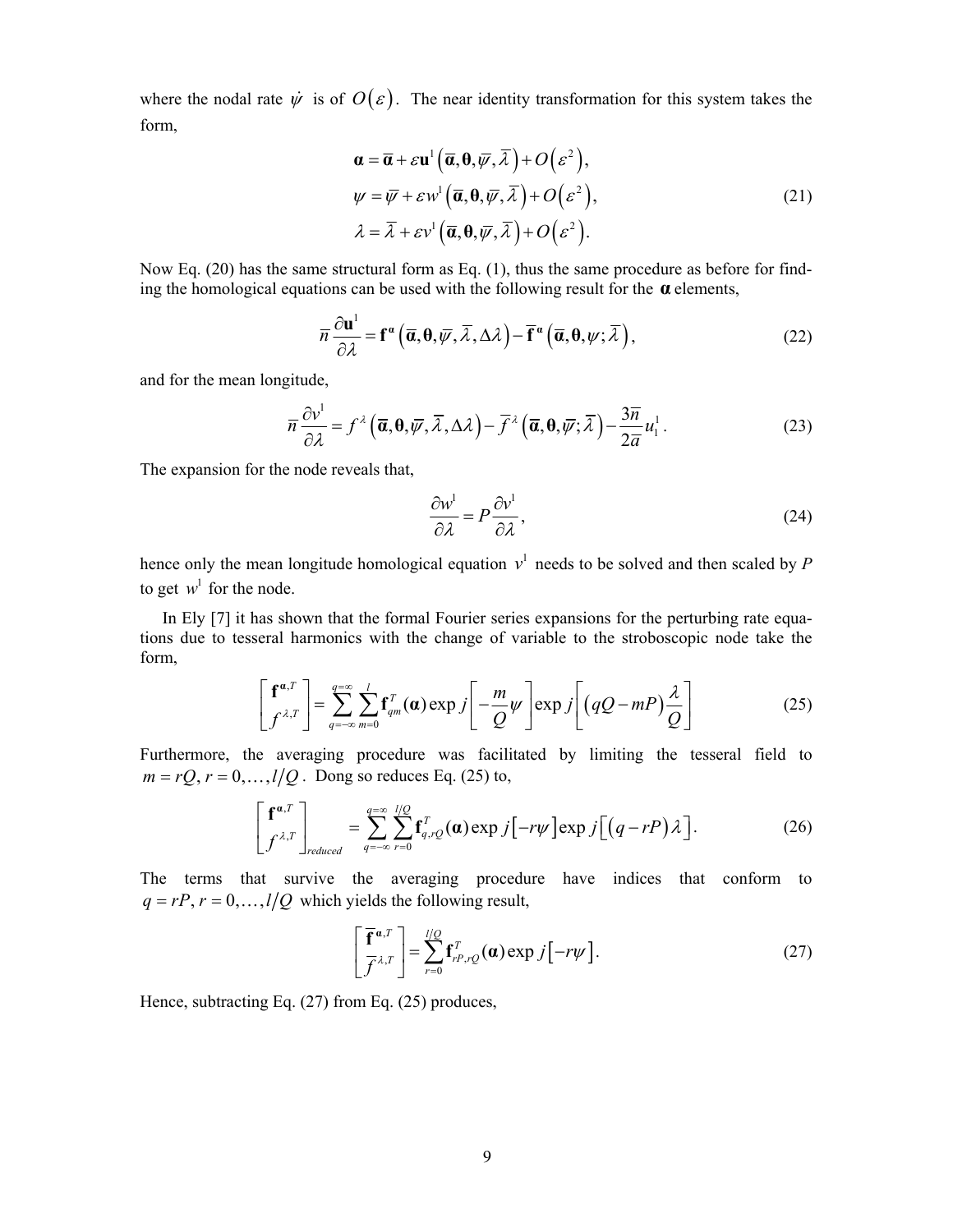where the nodal rate  $\dot{\psi}$  is of  $O(\varepsilon)$ . The near identity transformation for this system takes the form,

$$
\mathbf{a} = \overline{\mathbf{a}} + \varepsilon \mathbf{u}^1 \left( \overline{\mathbf{a}}, \mathbf{0}, \overline{\psi}, \overline{\lambda} \right) + O(\varepsilon^2),
$$
  
\n
$$
\psi = \overline{\psi} + \varepsilon w^1 \left( \overline{\mathbf{a}}, \mathbf{0}, \overline{\psi}, \overline{\lambda} \right) + O(\varepsilon^2),
$$
  
\n
$$
\lambda = \overline{\lambda} + \varepsilon v^1 \left( \overline{\mathbf{a}}, \mathbf{0}, \overline{\psi}, \overline{\lambda} \right) + O(\varepsilon^2).
$$
\n(21)

Now Eq. (20) has the same structural form as Eq. (1), thus the same procedure as before for finding the homological equations can be used with the following result for the **α** elements,

$$
\overline{n}\frac{\partial \mathbf{u}^{1}}{\partial \lambda} = \mathbf{f}^{\alpha}\left(\overline{\mathbf{a}}, \mathbf{0}, \overline{\psi}, \overline{\lambda}, \Delta \lambda\right) - \overline{\mathbf{f}}^{\alpha}\left(\overline{\mathbf{a}}, \mathbf{0}, \psi; \overline{\lambda}\right),\tag{22}
$$

and for the mean longitude,

$$
\overline{n}\frac{\partial v^1}{\partial \lambda} = f^{\lambda} \left( \overline{\mathbf{a}}, \mathbf{0}, \overline{\psi}, \overline{\lambda}, \Delta \lambda \right) - \overline{f}^{\lambda} \left( \overline{\mathbf{a}}, \mathbf{0}, \overline{\psi}; \overline{\lambda} \right) - \frac{3\overline{n}}{2\overline{a}} u_1^1. \tag{23}
$$

The expansion for the node reveals that,

$$
\frac{\partial w^1}{\partial \lambda} = P \frac{\partial v^1}{\partial \lambda},\tag{24}
$$

hence only the mean longitude homological equation  $v^1$  needs to be solved and then scaled by  $P$ to get  $w^1$  for the node.

In Ely [7] it has shown that the formal Fourier series expansions for the perturbing rate equations due to tesseral harmonics with the change of variable to the stroboscopic node take the form,

$$
\left[\mathbf{f}^{\boldsymbol{\alpha},T}\right] = \sum_{q=-\infty}^{q=\infty} \sum_{m=0}^{l} \mathbf{f}_{qm}^{T}(\boldsymbol{\alpha}) \exp j\left[-\frac{m}{Q}\psi\right] \exp j\left[(qQ-mP)\frac{\lambda}{Q}\right]
$$
(25)

Furthermore, the averaging procedure was facilitated by limiting the tesseral field to  $m = rQ$ ,  $r = 0, \ldots, l/Q$ . Dong so reduces Eq. (25) to,

$$
\begin{bmatrix} \mathbf{f}^{\mathbf{a},T} \\ f^{\lambda,T} \end{bmatrix}_{reduced} = \sum_{q=-\infty}^{q=\infty} \sum_{r=0}^{l/Q} \mathbf{f}_{q,rQ}^T(\mathbf{a}) \exp j[-r\psi] \exp j[(q-rP)\lambda]. \tag{26}
$$

The terms that survive the averaging procedure have indices that conform to  $q = rP, r = 0, \ldots, l/Q$  which yields the following result,

$$
\left[\frac{\overline{\mathbf{f}}^{\boldsymbol{\alpha},T}}{\overline{f}^{\lambda,T}}\right] = \sum_{r=0}^{l/\mathcal{Q}} \mathbf{f}_{rP,r\mathcal{Q}}^T(\boldsymbol{\alpha}) \exp j\left[-r\psi\right].
$$
\n(27)

Hence, subtracting Eq. (27) from Eq. (25) produces,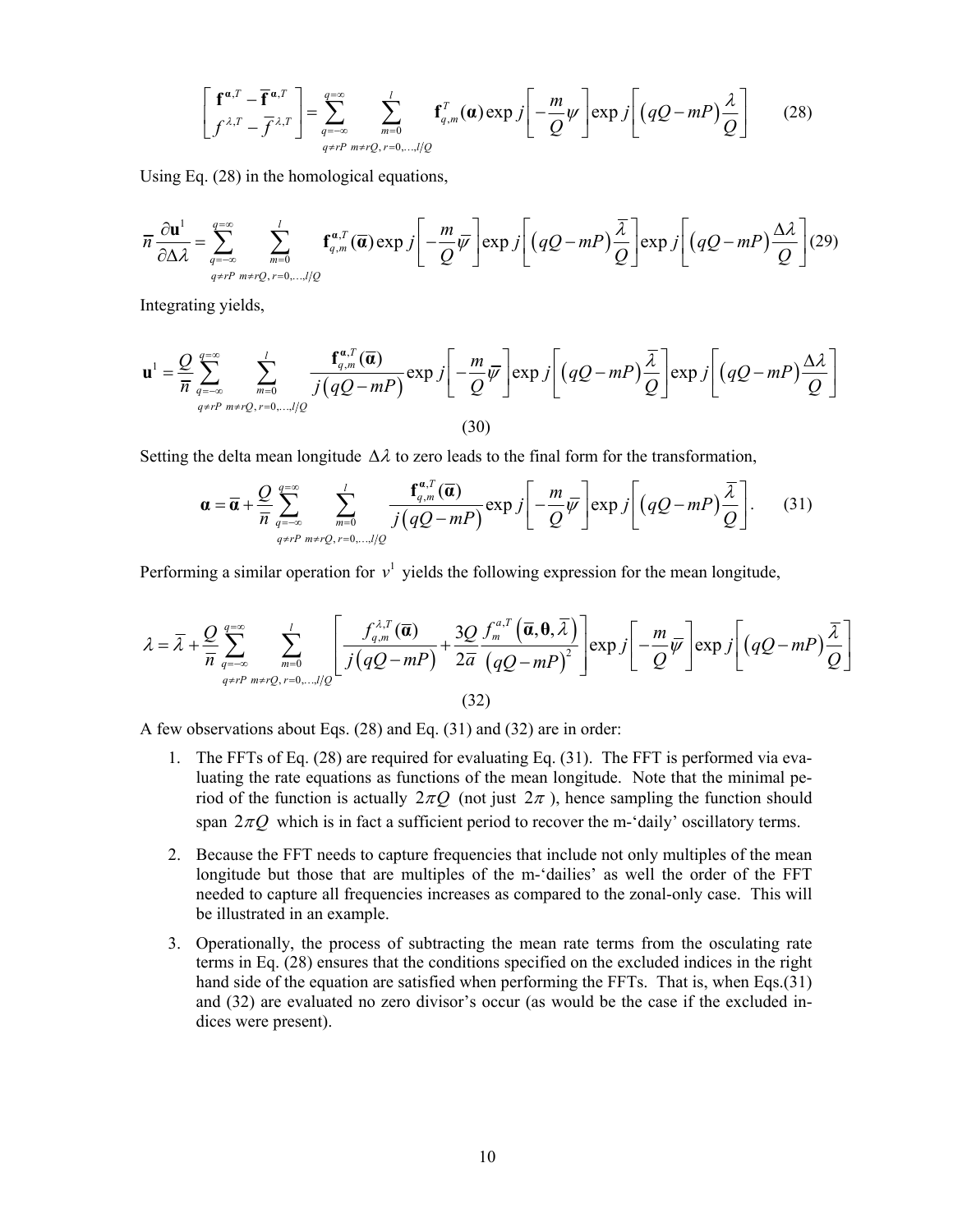$$
\left[\mathbf{f}^{\boldsymbol{\alpha},T}-\overline{\mathbf{f}}^{\boldsymbol{\alpha},T}\right]=\sum_{q=-\infty}^{q=\infty}\sum_{m=0}^{l}\mathbf{f}_{q,m}^{T}(\boldsymbol{\alpha})\exp j\left[-\frac{m}{Q}\psi\right]\exp j\left[(qQ-mP)\frac{\lambda}{Q}\right]
$$
(28)

Using Eq. (28) in the homological equations,

$$
\overline{n}\frac{\partial \mathbf{u}^1}{\partial \Delta \lambda} = \sum_{q=-\infty}^{q=\infty} \sum_{m=0}^{l} \mathbf{f}_{q,m}^{\alpha,T}(\overline{\mathbf{a}}) \exp j\left[-\frac{m}{Q}\overline{\psi}\right] \exp j\left[(qQ-mP)\frac{\overline{\lambda}}{Q}\right] \exp j\left[(qQ-mP)\frac{\Delta \lambda}{Q}\right] (29)
$$

Integrating yields,

$$
\mathbf{u}^{1} = \frac{Q}{\overline{n}} \sum_{q=-\infty}^{q=\infty} \sum_{m=0}^{l} \frac{\mathbf{f}_{q,m}^{\mathfrak{a},T}(\overline{\mathbf{a}})}{j(qQ-mP)} \exp j\left[-\frac{m}{Q}\overline{\psi}\right] \exp j\left[(qQ-mP)\frac{\overline{\lambda}}{Q}\right] \exp j\left[(qQ-mP)\frac{\Delta\lambda}{Q}\right]
$$
\n(30)

Setting the delta mean longitude  $\Delta \lambda$  to zero leads to the final form for the transformation,

$$
\boldsymbol{\alpha} = \overline{\boldsymbol{\alpha}} + \frac{Q}{\overline{n}} \sum_{q=-\infty}^{q=\infty} \sum_{m=0}^{l} \frac{\mathbf{f}_{q,m}^{\boldsymbol{\alpha},T}(\overline{\boldsymbol{\alpha}})}{j(qQ-mP)} \exp j\left[-\frac{m}{Q}\overline{\psi}\right] \exp j\left[(qQ-mP)\frac{\overline{\lambda}}{Q}\right].
$$
 (31)

Performing a similar operation for  $v^1$  yields the following expression for the mean longitude,

$$
\lambda = \overline{\lambda} + \frac{Q}{\overline{n}} \sum_{q=-\infty}^{q=\infty} \sum_{m=0}^{l} \left[ \frac{f_{q,m}^{\lambda,T}(\overline{a})}{j(qQ-mP)} + \frac{3Q}{2\overline{a}} \frac{f_{m}^{a,T}(\overline{a}, \theta, \overline{\lambda})}{(qQ-mP)^{2}} \right] \exp j \left[ -\frac{m}{Q} \overline{\psi} \right] \exp j \left[ (qQ - mP) \frac{\overline{\lambda}}{Q} \right]
$$
\n(32)

A few observations about Eqs. (28) and Eq. (31) and (32) are in order:

- 1. The FFTs of Eq. (28) are required for evaluating Eq. (31). The FFT is performed via evaluating the rate equations as functions of the mean longitude. Note that the minimal period of the function is actually  $2\pi Q$  (not just  $2\pi$ ), hence sampling the function should span  $2\pi$ *Q* which is in fact a sufficient period to recover the m-'daily' oscillatory terms.
- 2. Because the FFT needs to capture frequencies that include not only multiples of the mean longitude but those that are multiples of the m-'dailies' as well the order of the FFT needed to capture all frequencies increases as compared to the zonal-only case. This will be illustrated in an example.
- 3. Operationally, the process of subtracting the mean rate terms from the osculating rate terms in Eq. (28) ensures that the conditions specified on the excluded indices in the right hand side of the equation are satisfied when performing the FFTs. That is, when Eqs.(31) and (32) are evaluated no zero divisor's occur (as would be the case if the excluded indices were present).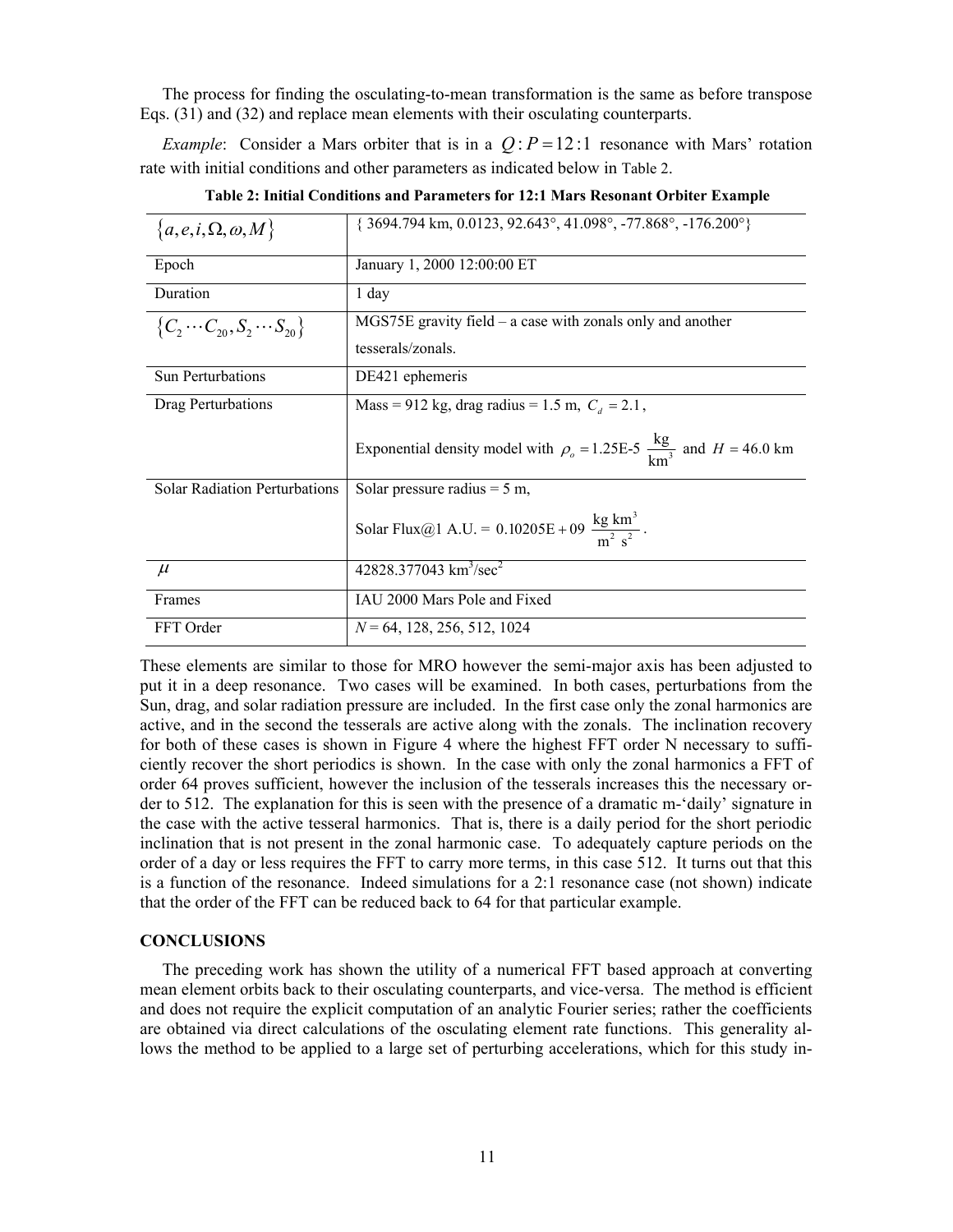The process for finding the osculating-to-mean transformation is the same as before transpose Eqs. (31) and (32) and replace mean elements with their osculating counterparts.

*Example*: Consider a Mars orbiter that is in a  $Q$ :  $P = 12$ : 1 resonance with Mars' rotation rate with initial conditions and other parameters as indicated below in Table 2.

| ${a, e, i, \Omega, \omega, M}$           | $\{3694.794 \text{ km}, 0.0123, 92.643^{\circ}, 41.098^{\circ}, -77.868^{\circ}, -176.200^{\circ}\}$ |
|------------------------------------------|------------------------------------------------------------------------------------------------------|
| Epoch                                    | January 1, 2000 12:00:00 ET                                                                          |
| Duration                                 | 1 day                                                                                                |
| ${C_2 \cdots C_{20}, S_2 \cdots S_{20}}$ | $MGS75E$ gravity field – a case with zonals only and another                                         |
|                                          | tesserals/zonals.                                                                                    |
| <b>Sun Perturbations</b>                 | DE421 ephemeris                                                                                      |
| Drag Perturbations                       | Mass = 912 kg, drag radius = 1.5 m, $C_d$ = 2.1,                                                     |
|                                          | Exponential density model with $\rho_o = 1.25E-5 \frac{kg}{km^3}$ and $H = 46.0$ km                  |
| <b>Solar Radiation Perturbations</b>     | Solar pressure radius $= 5$ m,                                                                       |
|                                          | Solar Flux@1 A.U. = $0.10205E + 09 \frac{\text{kg km}^3}{m^2 \text{ s}^2}$ .                         |
| $\mu$                                    | 42828.377043 km <sup>3</sup> /sec <sup>2</sup>                                                       |
| Frames                                   | IAU 2000 Mars Pole and Fixed                                                                         |
| FFT Order                                | $N = 64, 128, 256, 512, 1024$                                                                        |

**Table 2: Initial Conditions and Parameters for 12:1 Mars Resonant Orbiter Example** 

These elements are similar to those for MRO however the semi-major axis has been adjusted to put it in a deep resonance. Two cases will be examined. In both cases, perturbations from the Sun, drag, and solar radiation pressure are included. In the first case only the zonal harmonics are active, and in the second the tesserals are active along with the zonals. The inclination recovery for both of these cases is shown in Figure 4 where the highest FFT order N necessary to sufficiently recover the short periodics is shown. In the case with only the zonal harmonics a FFT of order 64 proves sufficient, however the inclusion of the tesserals increases this the necessary order to 512. The explanation for this is seen with the presence of a dramatic m-'daily' signature in the case with the active tesseral harmonics. That is, there is a daily period for the short periodic inclination that is not present in the zonal harmonic case. To adequately capture periods on the order of a day or less requires the FFT to carry more terms, in this case 512. It turns out that this is a function of the resonance. Indeed simulations for a 2:1 resonance case (not shown) indicate that the order of the FFT can be reduced back to 64 for that particular example.

#### **CONCLUSIONS**

The preceding work has shown the utility of a numerical FFT based approach at converting mean element orbits back to their osculating counterparts, and vice-versa. The method is efficient and does not require the explicit computation of an analytic Fourier series; rather the coefficients are obtained via direct calculations of the osculating element rate functions. This generality allows the method to be applied to a large set of perturbing accelerations, which for this study in-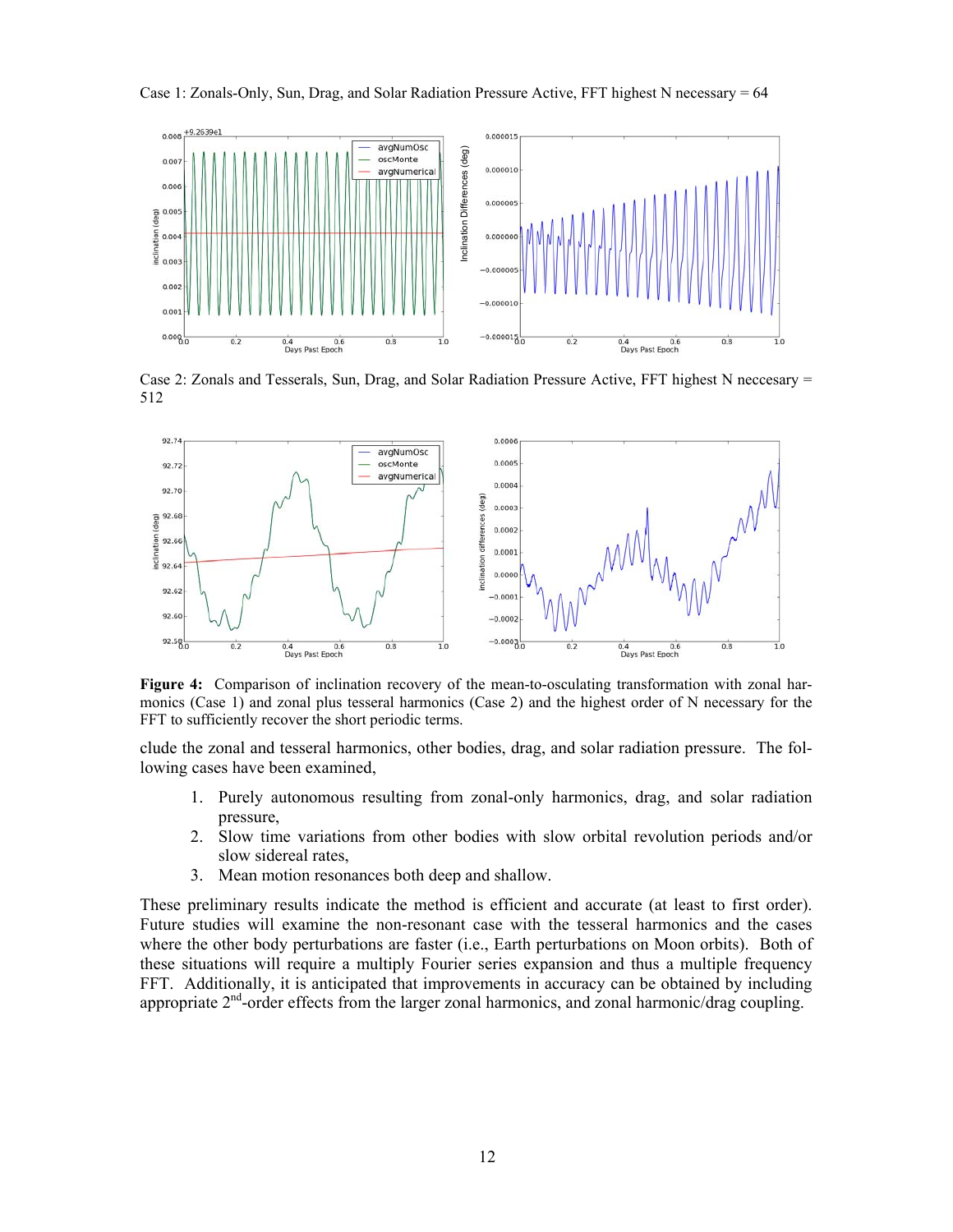



Case 2: Zonals and Tesserals, Sun, Drag, and Solar Radiation Pressure Active, FFT highest N neccesary = 512



**Figure 4:** Comparison of inclination recovery of the mean-to-osculating transformation with zonal harmonics (Case 1) and zonal plus tesseral harmonics (Case 2) and the highest order of N necessary for the

clude the zonal and tesseral harmonics, other bodies, drag, and solar radiation pressure. The following cases have been examined,

- 1. Purely autonomous resulting from zonal-only harmonics, drag, and solar radiation pressure,
- 2. Slow time variations from other bodies with slow orbital revolution periods and/or slow sidereal rates,
- 3. Mean motion resonances both deep and shallow.

These preliminary results indicate the method is efficient and accurate (at least to first order). Future studies will examine the non-resonant case with the tesseral harmonics and the cases where the other body perturbations are faster (i.e., Earth perturbations on Moon orbits). Both of these situations will require a multiply Fourier series expansion and thus a multiple frequency FFT. Additionally, it is anticipated that improvements in accuracy can be obtained by including appropriate  $2<sup>nd</sup>$ -order effects from the larger zonal harmonics, and zonal harmonic/drag coupling.